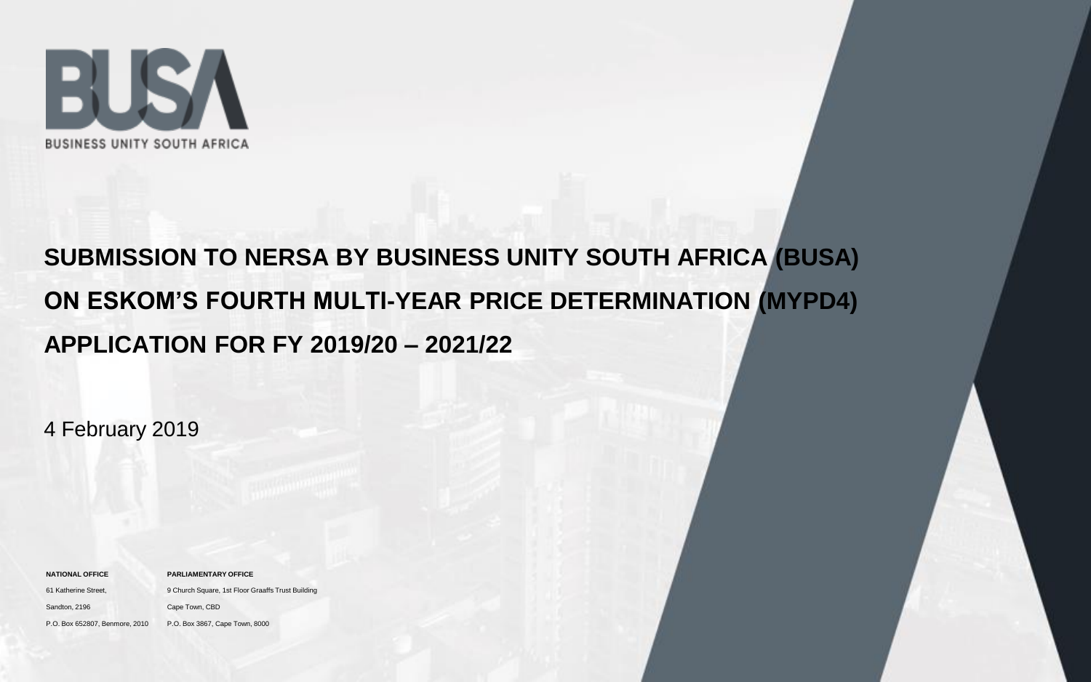

## **SUBMISSION TO NERSA BY BUSINESS UNITY SOUTH AFRICA (BUSA) ON ESKOM'S FOURTH MULTI-YEAR PRICE DETERMINATION (MYPD4) APPLICATION FOR FY 2019/20 – 2021/22**

4 February 2019

| <b>NATIONAL OFFICE</b>         | <b>PARLIAMENTARY OFFICE</b>                       |
|--------------------------------|---------------------------------------------------|
| 61 Katherine Street,           | 9 Church Square, 1st Floor Graaffs Trust Building |
| Sandton, 2196                  | Cape Town, CBD                                    |
| P.O. Box 652807, Benmore, 2010 | P.O. Box 3867, Cape Town, 8000                    |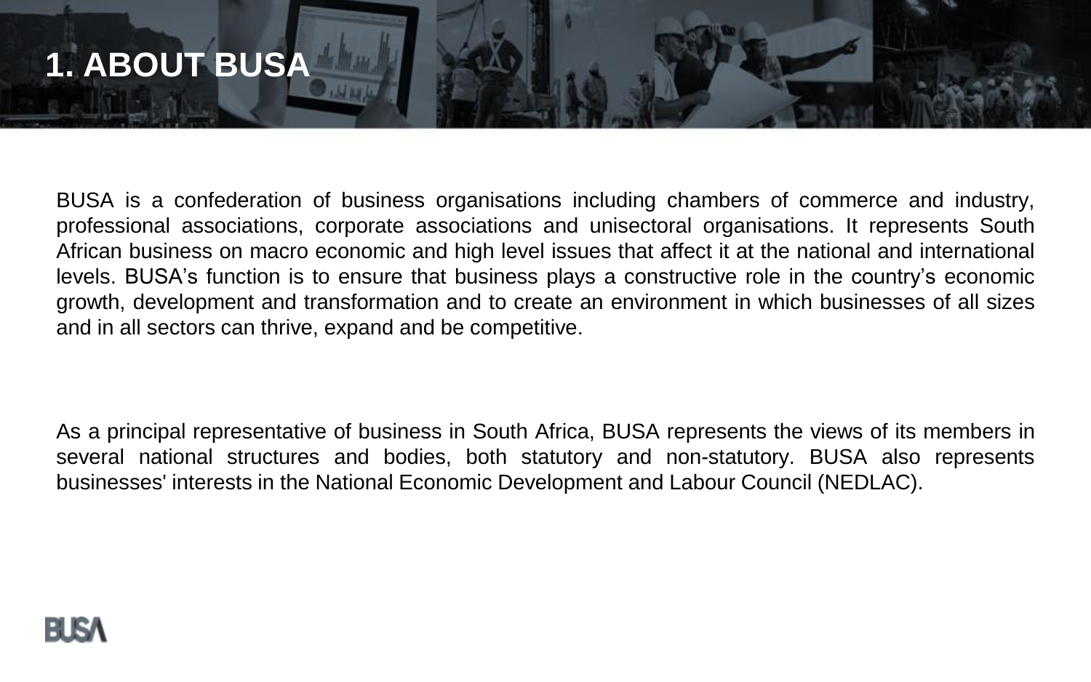

BUSA is a confederation of business organisations including chambers of commerce and industry, professional associations, corporate associations and unisectoral organisations. It represents South African business on macro economic and high level issues that affect it at the national and international levels. BUSA's function is to ensure that business plays a constructive role in the country's economic growth, development and transformation and to create an environment in which businesses of all sizes and in all sectors can thrive, expand and be competitive.

As a principal representative of business in South Africa, BUSA represents the views of its members in several national structures and bodies, both statutory and non-statutory. BUSA also represents businesses' interests in the National Economic Development and Labour Council (NEDLAC).

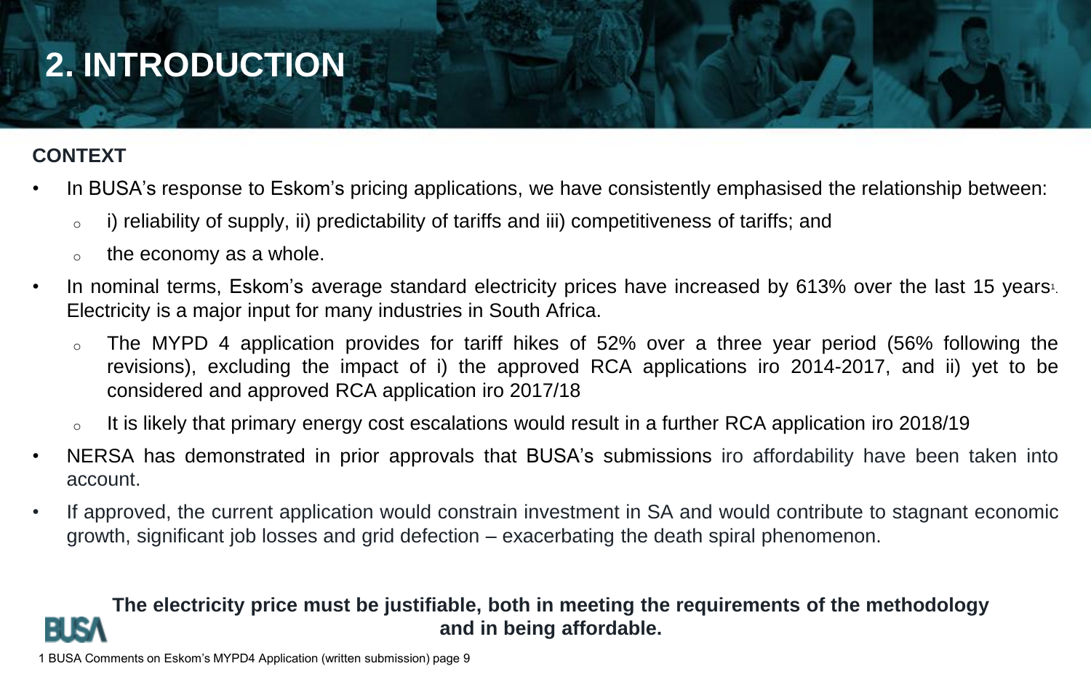# **2. INTRODUCTION**

## **CONTEXT**

- In BUSA's response to Eskom's pricing applications, we have consistently emphasised the relationship between:
	- $\circ$  i) reliability of supply, ii) predictability of tariffs and iii) competitiveness of tariffs; and
	- the economy as a whole.
- In nominal terms, Eskom's average standard electricity prices have increased by 613% over the last 15 years<sup>1</sup>. Electricity is a major input for many industries in South Africa.
	- The MYPD 4 application provides for tariff hikes of 52% over a three year period (56% following the revisions), excluding the impact of i) the approved RCA applications iro 2014-2017, and ii) yet to be considered and approved RCA application iro 2017/18
	- $\circ$  It is likely that primary energy cost escalations would result in a further RCA application iro 2018/19
- NERSA has demonstrated in prior approvals that BUSA's submissions iro affordability have been taken into account.
- If approved, the current application would constrain investment in SA and would contribute to stagnant economic growth, significant job losses and grid defection – exacerbating the death spiral phenomenon.

### **The electricity price must be justifiable, both in meeting the requirements of the methodology and in being affordable.**

1 BUSA Comments on Eskom's MYPD4 Application (written submission) page 9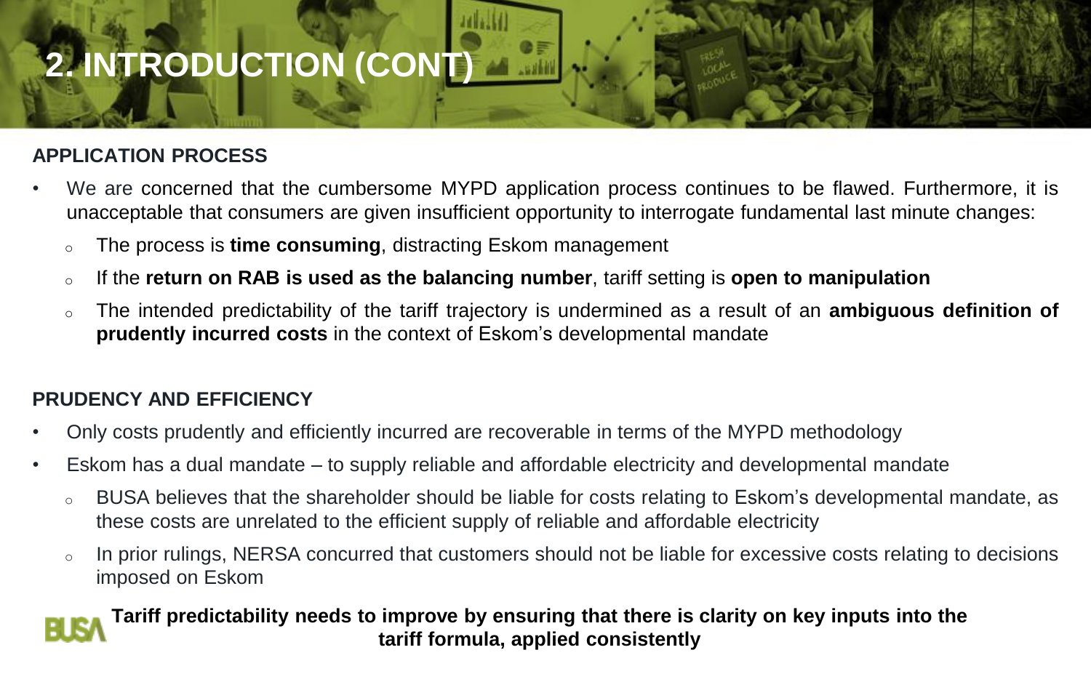# **2. INTRODUCTION (CONT)**

### **APPLICATION PROCESS**

- We are concerned that the cumbersome MYPD application process continues to be flawed. Furthermore, it is unacceptable that consumers are given insufficient opportunity to interrogate fundamental last minute changes:
	- o The process is **time consuming**, distracting Eskom management
	- o If the **return on RAB is used as the balancing number**, tariff setting is **open to manipulation**
	- o The intended predictability of the tariff trajectory is undermined as a result of an **ambiguous definition of prudently incurred costs** in the context of Eskom's developmental mandate

#### **PRUDENCY AND EFFICIENCY**

- Only costs prudently and efficiently incurred are recoverable in terms of the MYPD methodology
- Eskom has a dual mandate to supply reliable and affordable electricity and developmental mandate
	- o BUSA believes that the shareholder should be liable for costs relating to Eskom's developmental mandate, as these costs are unrelated to the efficient supply of reliable and affordable electricity
	- o In prior rulings, NERSA concurred that customers should not be liable for excessive costs relating to decisions imposed on Eskom

### **Tariff predictability needs to improve by ensuring that there is clarity on key inputs into the tariff formula, applied consistently**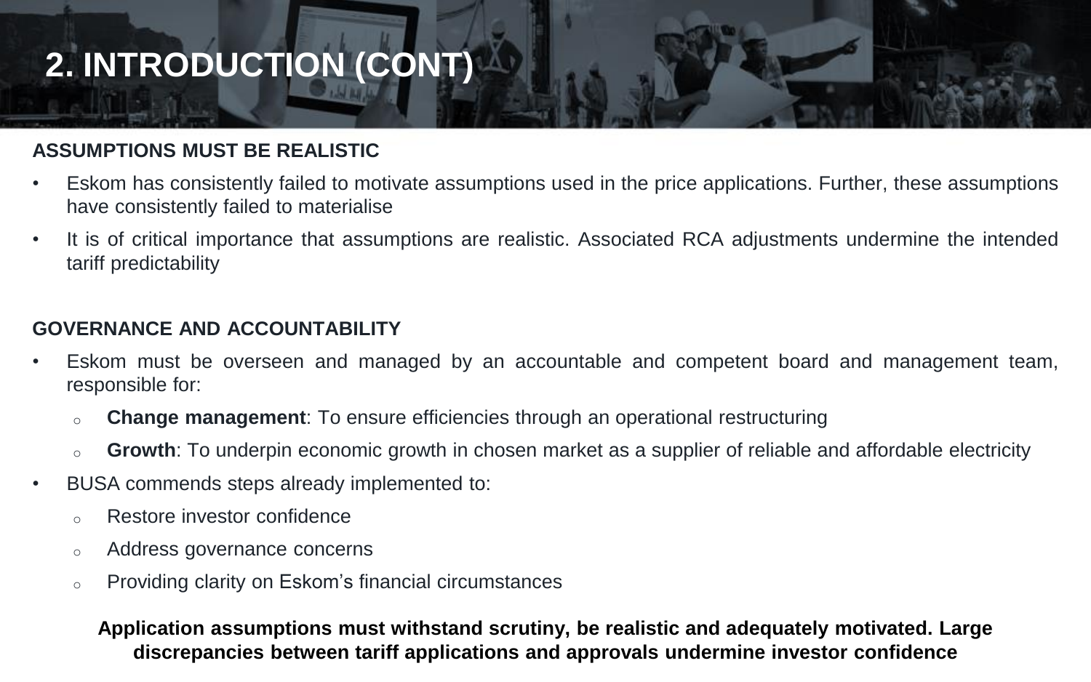# **2. INTRODUCTION (CONT)**

#### **ASSUMPTIONS MUST BE REALISTIC**

- Eskom has consistently failed to motivate assumptions used in the price applications. Further, these assumptions have consistently failed to materialise
- It is of critical importance that assumptions are realistic. Associated RCA adjustments undermine the intended tariff predictability

#### **GOVERNANCE AND ACCOUNTABILITY**

- Eskom must be overseen and managed by an accountable and competent board and management team, responsible for:
	- o **Change management**: To ensure efficiencies through an operational restructuring
	- **Growth**: To underpin economic growth in chosen market as a supplier of reliable and affordable electricity
- BUSA commends steps already implemented to:
	- o Restore investor confidence
	- o Address governance concerns
	- o Providing clarity on Eskom's financial circumstances

#### **Application assumptions must withstand scrutiny, be realistic and adequately motivated. Large** <sup>5</sup> **discrepancies between tariff applications and approvals undermine investor confidence**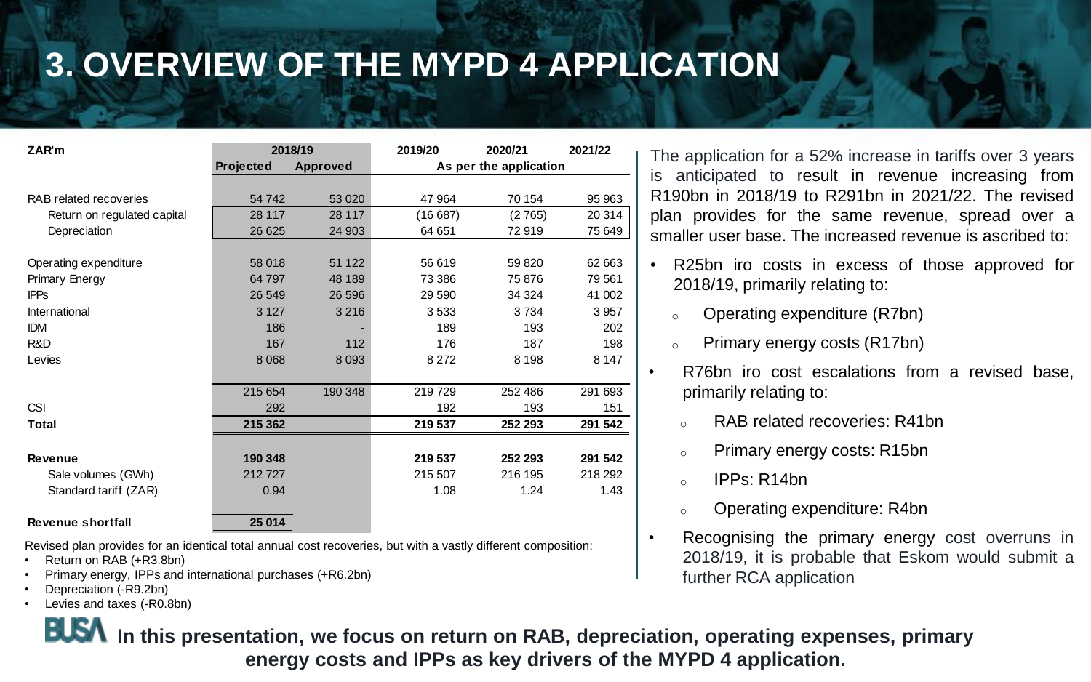# **3. OVERVIEW OF THE MYPD 4 APPLICATION**

| ZAR'm                       | 2018/19               |         | 2019/20                | 2020/21 | 2021/22 |
|-----------------------------|-----------------------|---------|------------------------|---------|---------|
|                             | Projected<br>Approved |         | As per the application |         |         |
|                             |                       |         |                        |         |         |
| RAB related recoveries      | 54742                 | 53 0 20 | 47 964                 | 70 154  | 95 963  |
| Return on regulated capital | 28 117                | 28 117  | (16687)                | (2765)  | 20 314  |
| Depreciation                | 26 625                | 24 903  | 64 651                 | 72919   | 75 649  |
|                             |                       |         |                        |         |         |
| Operating expenditure       | 58 018                | 51 122  | 56 619                 | 59 820  | 62 663  |
| Primary Energy              | 64 797                | 48 189  | 73 386                 | 75 876  | 79 561  |
| <b>IPPs</b>                 | 26 549                | 26 59 6 | 29 590                 | 34 324  | 41 002  |
| International               | 3 1 2 7               | 3 2 1 6 | 3 5 3 3                | 3734    | 3957    |
| <b>IDM</b>                  | 186                   |         | 189                    | 193     | 202     |
| R&D                         | 167                   | 112     | 176                    | 187     | 198     |
| Levies                      | 8 0 68                | 8 0 9 3 | 8 2 7 2                | 8 1 9 8 | 8 1 4 7 |
|                             |                       |         |                        |         |         |
|                             | 215 654               | 190 348 | 219729                 | 252 486 | 291 693 |
| <b>CSI</b>                  | 292                   |         | 192                    | 193     | 151     |
| Total                       | 215 362               |         | 219 537                | 252 293 | 291 542 |
|                             |                       |         |                        |         |         |
| Revenue                     | 190 348               |         | 219 537                | 252 293 | 291 542 |
| Sale volumes (GWh)          | 212727                |         | 215 507                | 216 195 | 218 292 |
| Standard tariff (ZAR)       | 0.94                  |         | 1.08                   | 1.24    | 1.43    |
|                             |                       |         |                        |         |         |
| Revenue shortfall           | 25 014                |         |                        |         |         |

Revised plan provides for an identical total annual cost recoveries, but with a vastly different composition:

- Return on RAB (+R3.8bn)
- Primary energy, IPPs and international purchases (+R6.2bn)
- Depreciation (-R9.2bn)
- Levies and taxes (-R0.8bn)

The application for a 52% increase in tariffs over 3 years is anticipated to result in revenue increasing from R190bn in 2018/19 to R291bn in 2021/22. The revised plan provides for the same revenue, spread over a smaller user base. The increased revenue is ascribed to:

- R25bn iro costs in excess of those approved for 2018/19, primarily relating to:
	- <sup>o</sup> Operating expenditure (R7bn)
	- <sup>o</sup> Primary energy costs (R17bn)
	- R76bn iro cost escalations from a revised base, primarily relating to:
		- <sup>o</sup> RAB related recoveries: R41bn
		- <sup>o</sup> Primary energy costs: R15bn
		- $\circ$  IPPs: R14bn
		- <sup>o</sup> Operating expenditure: R4bn
- Recognising the primary energy cost overruns in 2018/19, it is probable that Eskom would submit a further RCA application

**IDSA** In this presentation, we focus on return on RAB, depreciation, operating expenses, primary **energy costs and IPPs as key drivers of the MYPD 4 application.**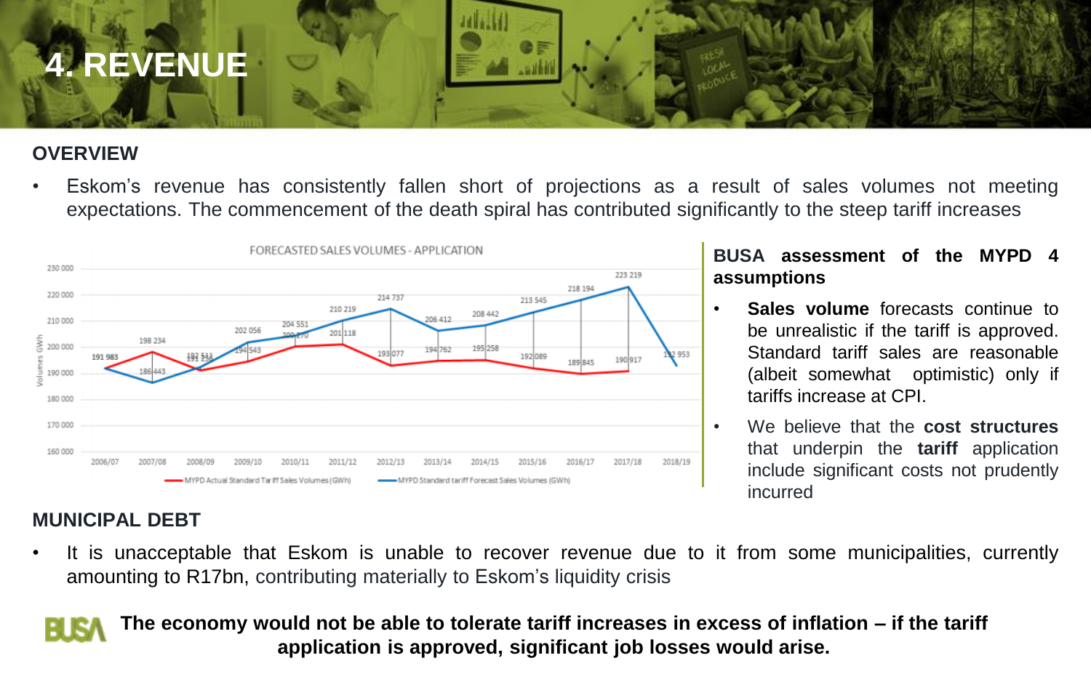

### **OVERVIEW**

• Eskom's revenue has consistently fallen short of projections as a result of sales volumes not meeting expectations. The commencement of the death spiral has contributed significantly to the steep tariff increases



#### **BUSA assessment of the MYPD 4 assumptions**

- **Sales volume** forecasts continue to be unrealistic if the tariff is approved. Standard tariff sales are reasonable (albeit somewhat optimistic) only if tariffs increase at CPI.
- We believe that the **cost structures** that underpin the **tariff** application include significant costs not prudently incurred

### **MUNICIPAL DEBT**

• It is unacceptable that Eskom is unable to recover revenue due to it from some municipalities, currently amounting to R17bn, contributing materially to Eskom's liquidity crisis

**The economy would not be able to tolerate tariff increases in excess of inflation – if the tariff** <sup>7</sup> **application is approved, significant job losses would arise.**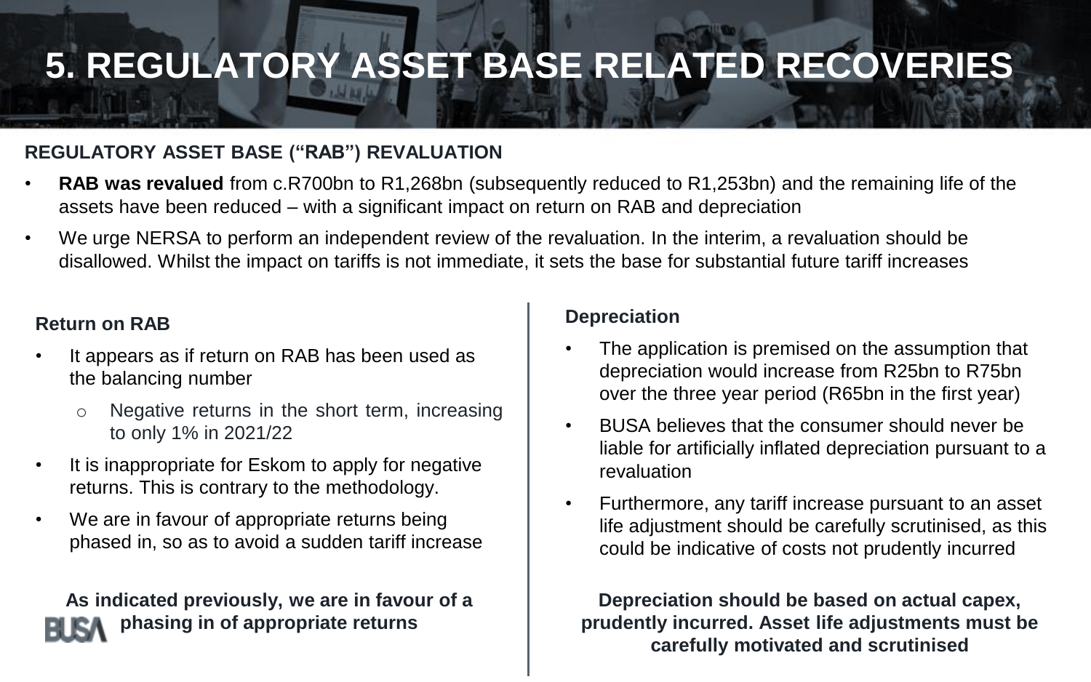# **5. REGULATORY ASSET BASE RELATED RECOVERIES**

### **REGULATORY ASSET BASE ("RAB") REVALUATION**

- **RAB was revalued** from c.R700bn to R1,268bn (subsequently reduced to R1,253bn) and the remaining life of the assets have been reduced – with a significant impact on return on RAB and depreciation
- We urge NERSA to perform an independent review of the revaluation. In the interim, a revaluation should be disallowed. Whilst the impact on tariffs is not immediate, it sets the base for substantial future tariff increases

#### **Return on RAB**

- It appears as if return on RAB has been used as the balancing number
	- o Negative returns in the short term, increasing to only 1% in 2021/22
- It is inappropriate for Eskom to apply for negative returns. This is contrary to the methodology.
- We are in favour of appropriate returns being phased in, so as to avoid a sudden tariff increase

**As indicated previously, we are in favour of a phasing in of appropriate returns**

#### **Depreciation**

- The application is premised on the assumption that depreciation would increase from R25bn to R75bn over the three year period (R65bn in the first year)
- BUSA believes that the consumer should never be liable for artificially inflated depreciation pursuant to a revaluation
- Furthermore, any tariff increase pursuant to an asset life adjustment should be carefully scrutinised, as this could be indicative of costs not prudently incurred

8 **prudently incurred. Asset life adjustments must be Depreciation should be based on actual capex, carefully motivated and scrutinised**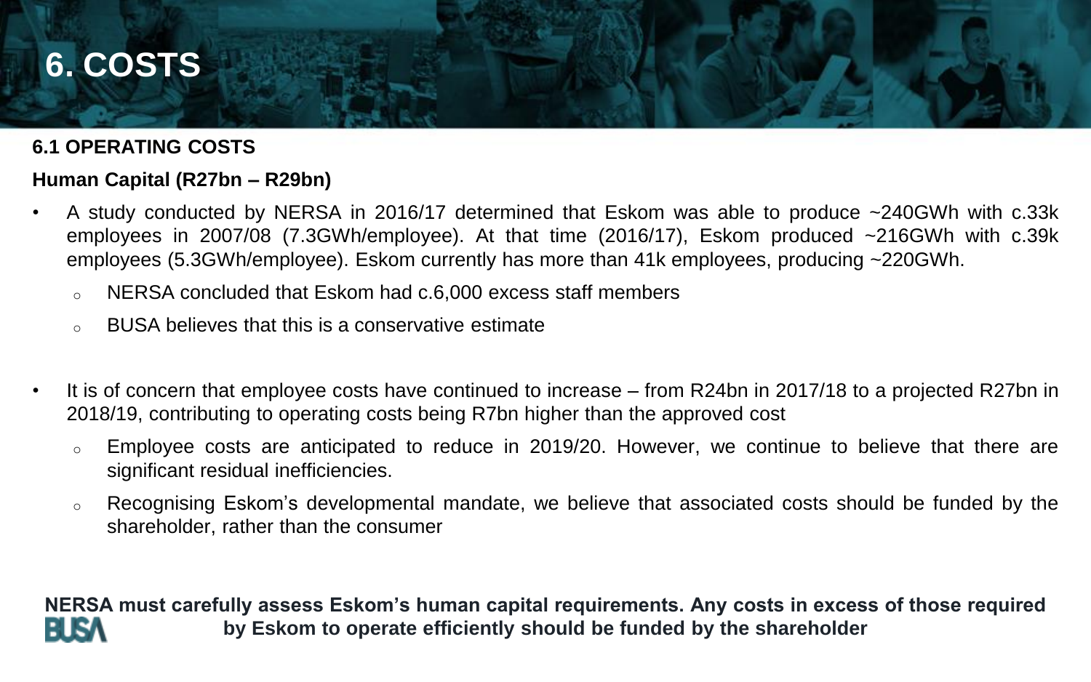## **6. COSTS**

#### **6.1 OPERATING COSTS**

### **Human Capital (R27bn – R29bn)**

- A study conducted by NERSA in 2016/17 determined that Eskom was able to produce ~240GWh with c.33k employees in 2007/08 (7.3GWh/employee). At that time (2016/17), Eskom produced ~216GWh with c.39k employees (5.3GWh/employee). Eskom currently has more than 41k employees, producing ~220GWh.
	- $\circ$  NERSA concluded that Eskom had c.6,000 excess staff members
	- BUSA believes that this is a conservative estimate
- It is of concern that employee costs have continued to increase from R24bn in 2017/18 to a projected R27bn in 2018/19, contributing to operating costs being R7bn higher than the approved cost
	- o Employee costs are anticipated to reduce in 2019/20. However, we continue to believe that there are significant residual inefficiencies.
	- $\circ$  Recognising Eskom's developmental mandate, we believe that associated costs should be funded by the shareholder, rather than the consumer

**NERSA must carefully assess Eskom's human capital requirements. Any costs in excess of those required by Eskom to operate efficiently should be funded by the shareholder**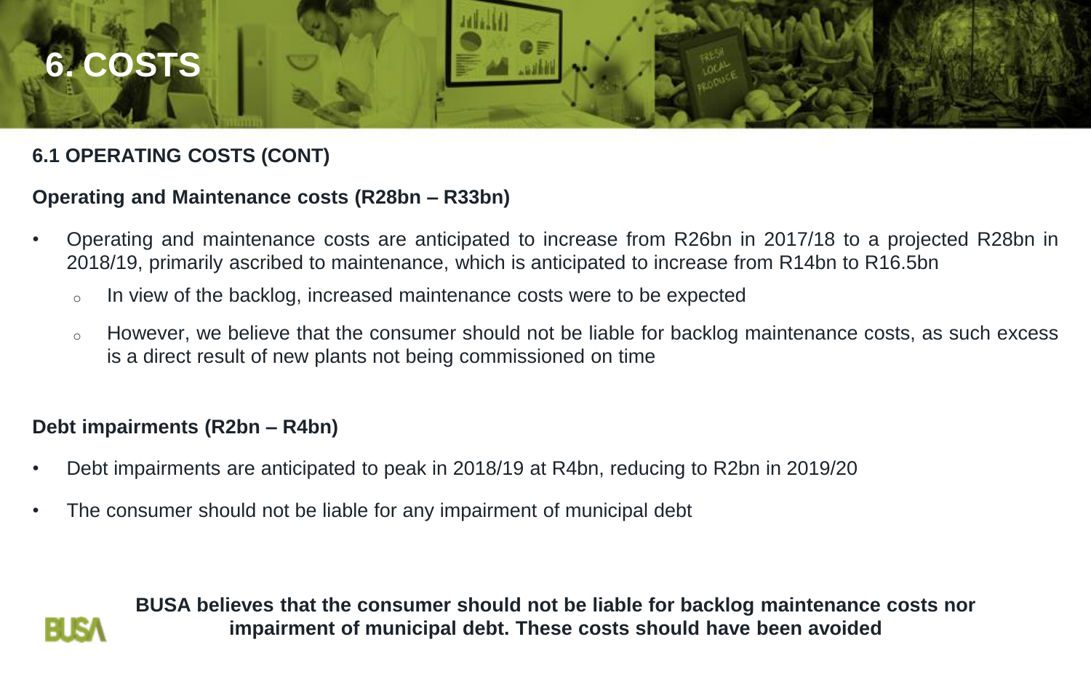

## **6.1 OPERATING COSTS (CONT)**

#### **Operating and Maintenance costs (R28bn – R33bn)**

- Operating and maintenance costs are anticipated to increase from R26bn in 2017/18 to a projected R28bn in 2018/19, primarily ascribed to maintenance, which is anticipated to increase from R14bn to R16.5bn
	- o In view of the backlog, increased maintenance costs were to be expected
	- o However, we believe that the consumer should not be liable for backlog maintenance costs, as such excess is a direct result of new plants not being commissioned on time

#### **Debt impairments (R2bn – R4bn)**

- Debt impairments are anticipated to peak in 2018/19 at R4bn, reducing to R2bn in 2019/20
- The consumer should not be liable for any impairment of municipal debt



**BUSA believes that the consumer should not be liable for backlog maintenance costs nor impairment of municipal debt. These costs should have been avoided**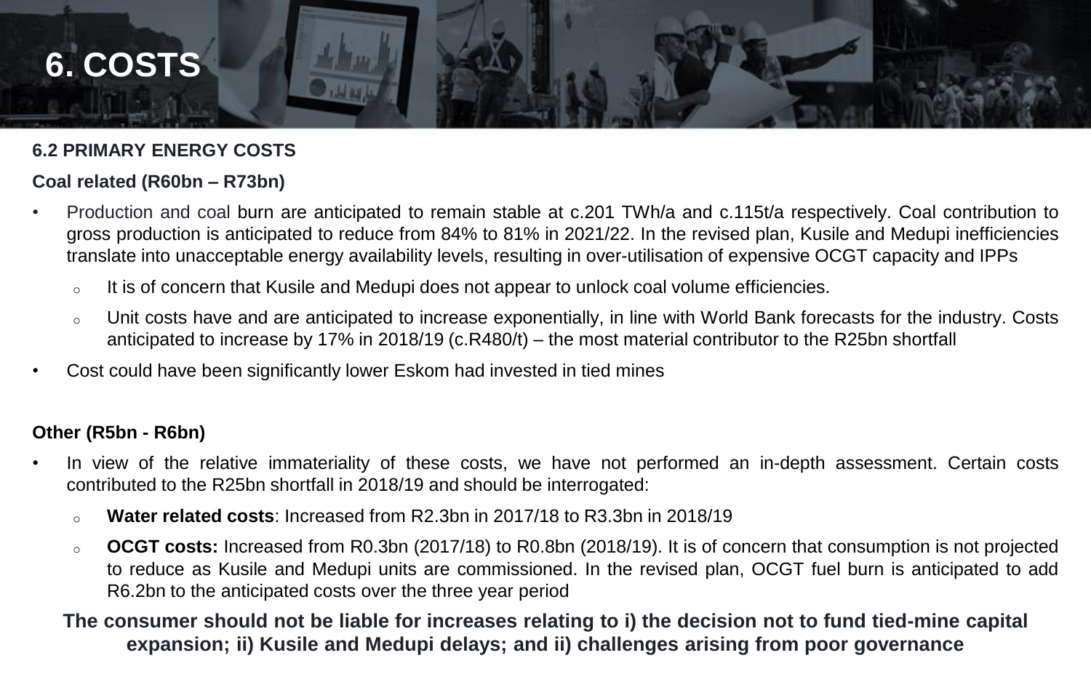

#### **6.2 PRIMARY ENERGY COSTS**

#### **Coal related (R60bn – R73bn)**

- Production and coal burn are anticipated to remain stable at c.201 TWh/a and c.115t/a respectively. Coal contribution to gross production is anticipated to reduce from 84% to 81% in 2021/22. In the revised plan, Kusile and Medupi inefficiencies translate into unacceptable energy availability levels, resulting in over-utilisation of expensive OCGT capacity and IPPs
	- $\circ$  It is of concern that Kusile and Medupi does not appear to unlock coal volume efficiencies.
	- <sup>o</sup> Unit costs have and are anticipated to increase exponentially, in line with World Bank forecasts for the industry. Costs anticipated to increase by 17% in 2018/19 (c.R480/t) – the most material contributor to the R25bn shortfall
- Cost could have been significantly lower Eskom had invested in tied mines

#### **Other (R5bn - R6bn)**

- In view of the relative immateriality of these costs, we have not performed an in-depth assessment. Certain costs contributed to the R25bn shortfall in 2018/19 and should be interrogated:
	- o **Water related costs**: Increased from R2.3bn in 2017/18 to R3.3bn in 2018/19
	- o **OCGT costs:** Increased from R0.3bn (2017/18) to R0.8bn (2018/19). It is of concern that consumption is not projected to reduce as Kusile and Medupi units are commissioned. In the revised plan, OCGT fuel burn is anticipated to add R6.2bn to the anticipated costs over the three year period

#### 1 **The consumer should not be liable for increases relating to i) the decision not to fund tied-mine capital expansion; ii) Kusile and Medupi delays; and ii) challenges arising from poor governance**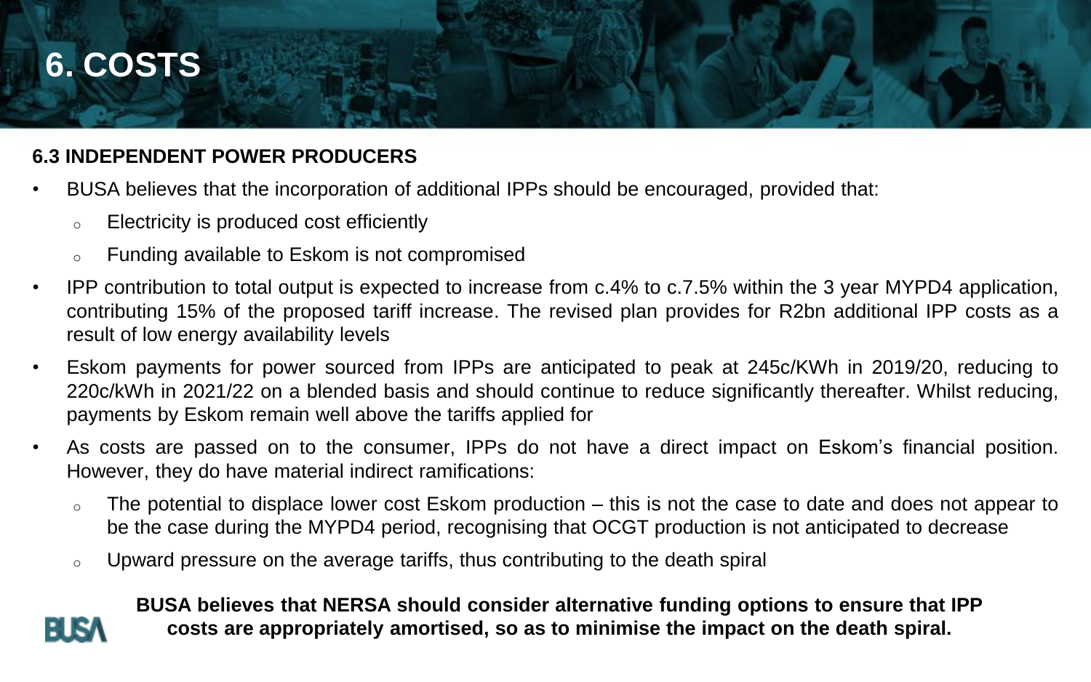## **6. COSTS**

### **6.3 INDEPENDENT POWER PRODUCERS**

- BUSA believes that the incorporation of additional IPPs should be encouraged, provided that:
	- Electricity is produced cost efficiently
	- Funding available to Eskom is not compromised
- IPP contribution to total output is expected to increase from c.4% to c.7.5% within the 3 year MYPD4 application, contributing 15% of the proposed tariff increase. The revised plan provides for R2bn additional IPP costs as a result of low energy availability levels
- Eskom payments for power sourced from IPPs are anticipated to peak at 245c/KWh in 2019/20, reducing to 220c/kWh in 2021/22 on a blended basis and should continue to reduce significantly thereafter. Whilst reducing, payments by Eskom remain well above the tariffs applied for
- As costs are passed on to the consumer, IPPs do not have a direct impact on Eskom's financial position. However, they do have material indirect ramifications:
	- $\circ$  The potential to displace lower cost Eskom production this is not the case to date and does not appear to be the case during the MYPD4 period, recognising that OCGT production is not anticipated to decrease
	- $\circ$  Upward pressure on the average tariffs, thus contributing to the death spiral



**BUSA believes that NERSA should consider alternative funding options to ensure that IPP costs are appropriately amortised, so as to minimise the impact on the death spiral.**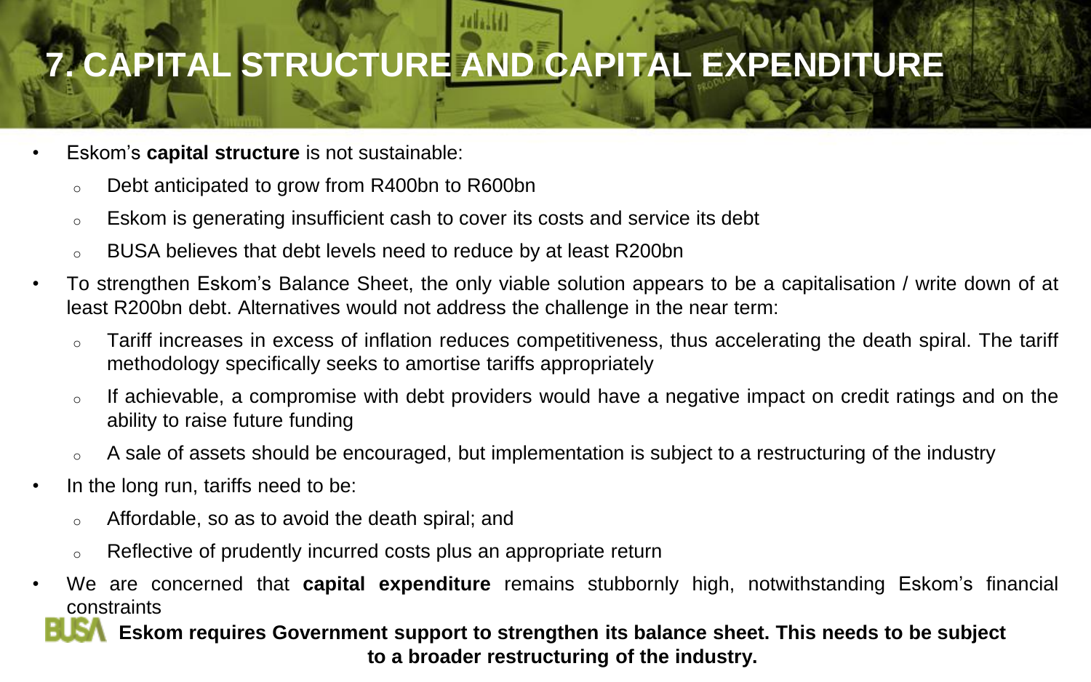# **7. CAPITAL STRUCTURE AND CAPITAL EXPENDITURE**

- Eskom's **capital structure** is not sustainable:
	- o Debt anticipated to grow from R400bn to R600bn
	- o Eskom is generating insufficient cash to cover its costs and service its debt
	- BUSA believes that debt levels need to reduce by at least R200bn
- To strengthen Eskom's Balance Sheet, the only viable solution appears to be a capitalisation / write down of at least R200bn debt. Alternatives would not address the challenge in the near term:
	- o Tariff increases in excess of inflation reduces competitiveness, thus accelerating the death spiral. The tariff methodology specifically seeks to amortise tariffs appropriately
	- $\circ$  If achievable, a compromise with debt providers would have a negative impact on credit ratings and on the ability to raise future funding
	- A sale of assets should be encouraged, but implementation is subject to a restructuring of the industry
- In the long run, tariffs need to be:
	- o Affordable, so as to avoid the death spiral; and
	- $\circ$  Reflective of prudently incurred costs plus an appropriate return
- We are concerned that **capital expenditure** remains stubbornly high, notwithstanding Eskom's financial constraints

**1 Eskom requires Government support to strengthen its balance sheet. This needs to be subject to a broader restructuring of the industry.**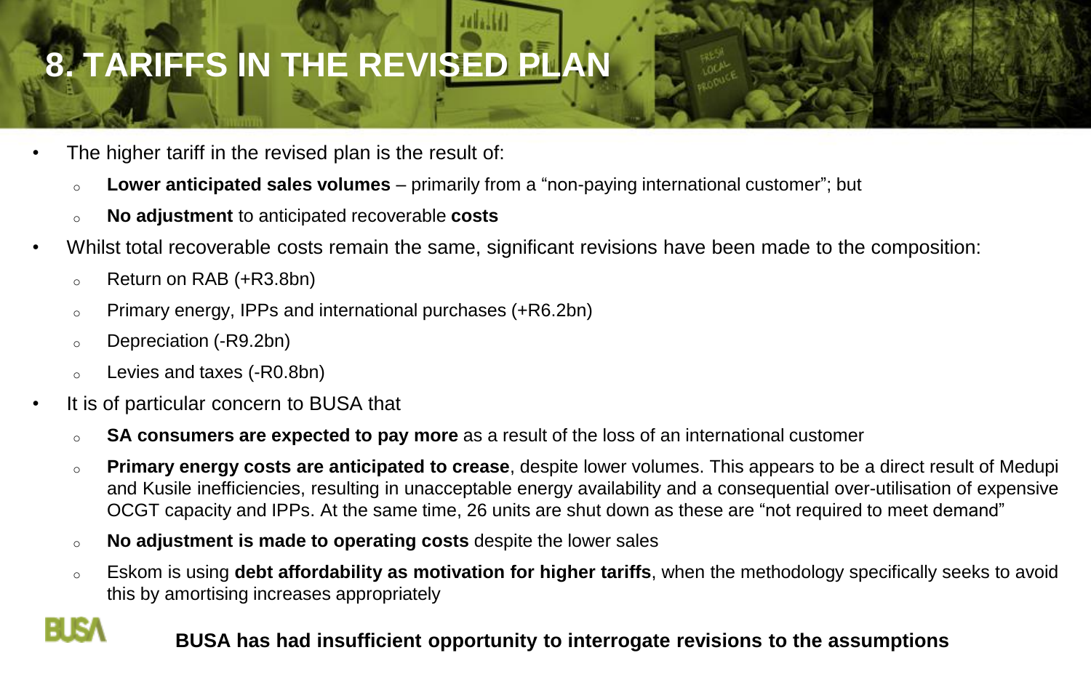# **8. TARIFFS IN THE REVISED PLAN**

- The higher tariff in the revised plan is the result of:
	- <sup>o</sup> **Lower anticipated sales volumes** primarily from a "non-paying international customer"; but
	- <sup>o</sup> **No adjustment** to anticipated recoverable **costs**
- Whilst total recoverable costs remain the same, significant revisions have been made to the composition:
	- <sup>o</sup> Return on RAB (+R3.8bn)
	- o Primary energy, IPPs and international purchases (+R6.2bn)
	- o Depreciation (-R9.2bn)

FIRA

- o Levies and taxes (-R0.8bn)
- It is of particular concern to BUSA that
	- o **SA consumers are expected to pay more** as a result of the loss of an international customer
	- o **Primary energy costs are anticipated to crease**, despite lower volumes. This appears to be a direct result of Medupi and Kusile inefficiencies, resulting in unacceptable energy availability and a consequential over-utilisation of expensive OCGT capacity and IPPs. At the same time, 26 units are shut down as these are "not required to meet demand"
	- o **No adjustment is made to operating costs** despite the lower sales
	- o Eskom is using **debt affordability as motivation for higher tariffs**, when the methodology specifically seeks to avoid this by amortising increases appropriately

## **BUSA has had insufficient opportunity to interrogate revisions to the assumptions** <sup>4</sup>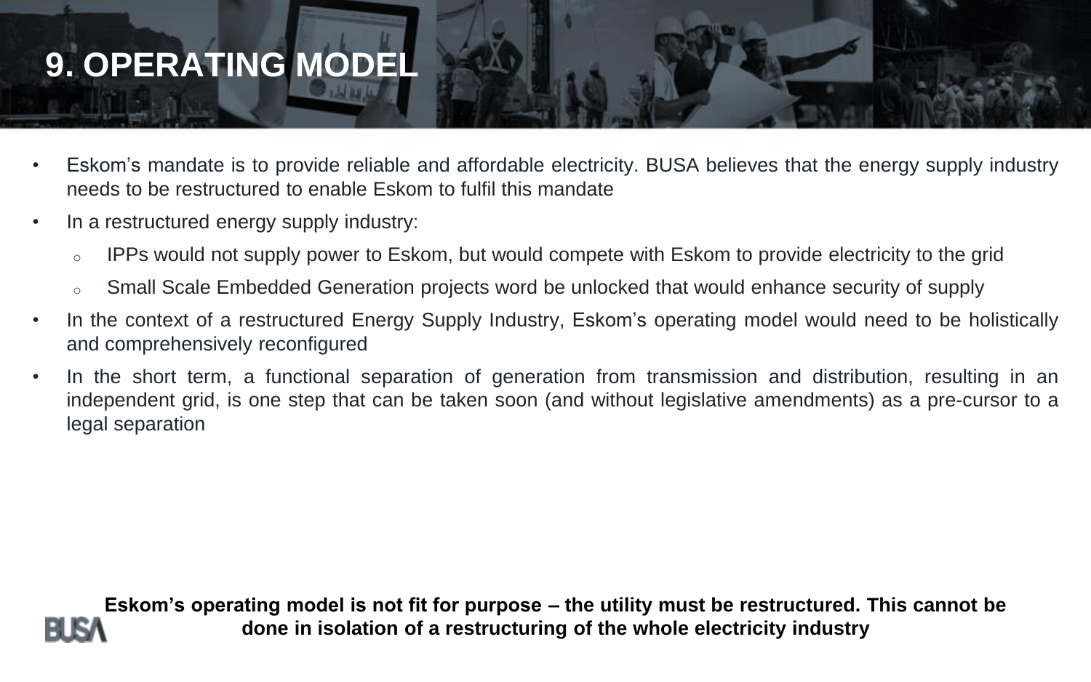# **9. OPERATING MODEL**

- Eskom's mandate is to provide reliable and affordable electricity. BUSA believes that the energy supply industry needs to be restructured to enable Eskom to fulfil this mandate
- In a restructured energy supply industry:
	- o IPPs would not supply power to Eskom, but would compete with Eskom to provide electricity to the grid
	- Small Scale Embedded Generation projects word be unlocked that would enhance security of supply
- In the context of a restructured Energy Supply Industry, Eskom's operating model would need to be holistically and comprehensively reconfigured
- In the short term, a functional separation of generation from transmission and distribution, resulting in an independent grid, is one step that can be taken soon (and without legislative amendments) as a pre-cursor to a legal separation



**Eskom's operating model is not fit for purpose – the utility must be restructured. This cannot be done in isolation of a restructuring of the whole electricity industry**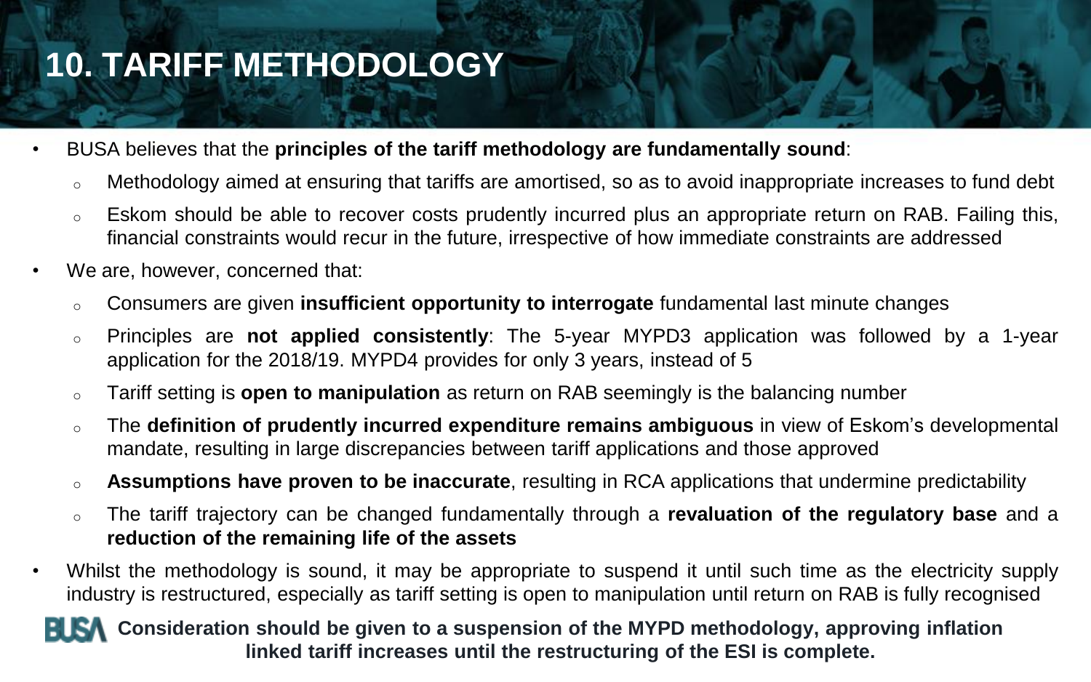# **10. TARIFF METHODOLOGY**

- BUSA believes that the **principles of the tariff methodology are fundamentally sound**:
	- o Methodology aimed at ensuring that tariffs are amortised, so as to avoid inappropriate increases to fund debt
	- $\circ$  Eskom should be able to recover costs prudently incurred plus an appropriate return on RAB. Failing this, financial constraints would recur in the future, irrespective of how immediate constraints are addressed
- We are, however, concerned that:
	- o Consumers are given **insufficient opportunity to interrogate** fundamental last minute changes
	- o Principles are **not applied consistently**: The 5-year MYPD3 application was followed by a 1-year application for the 2018/19. MYPD4 provides for only 3 years, instead of 5
	- o Tariff setting is **open to manipulation** as return on RAB seemingly is the balancing number
	- o The **definition of prudently incurred expenditure remains ambiguous** in view of Eskom's developmental mandate, resulting in large discrepancies between tariff applications and those approved
	- o **Assumptions have proven to be inaccurate**, resulting in RCA applications that undermine predictability
	- o The tariff trajectory can be changed fundamentally through a **revaluation of the regulatory base** and a **reduction of the remaining life of the assets**
- Whilst the methodology is sound, it may be appropriate to suspend it until such time as the electricity supply industry is restructured, especially as tariff setting is open to manipulation until return on RAB is fully recognised

#### **RISA** Consideration should be given to a suspension of the MYPD methodology, approving inflation **linked tariff increases until the restructuring of the ESI is complete.**